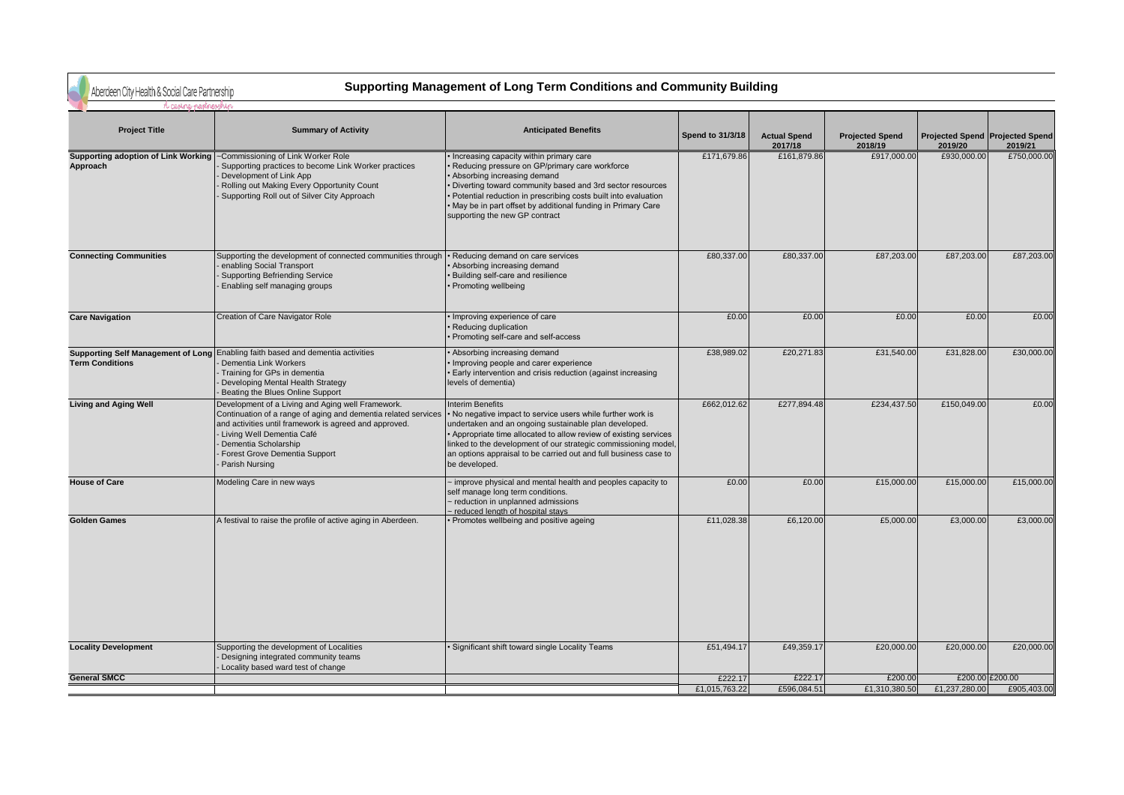Aberdeen City Health & Social Care Partnership

## **Supporting Management of Long Term Conditions and Community Building**

| <b>Project Title</b>                                                                | <b>Summary of Activity</b>                                                                                                                                                                                                                                                              | <b>Anticipated Benefits</b>                                                                                                                                                                                                                                                                                                                                              | Spend to 31/3/18 | <b>Actual Spend</b><br>2017/18 | <b>Projected Spend</b><br>2018/19 | 2019/20       | Projected Spend Projected Spend<br>2019/21 |
|-------------------------------------------------------------------------------------|-----------------------------------------------------------------------------------------------------------------------------------------------------------------------------------------------------------------------------------------------------------------------------------------|--------------------------------------------------------------------------------------------------------------------------------------------------------------------------------------------------------------------------------------------------------------------------------------------------------------------------------------------------------------------------|------------------|--------------------------------|-----------------------------------|---------------|--------------------------------------------|
| Supporting adoption of Link Working  ~Commissioning of Link Worker Role<br>Approach | Supporting practices to become Link Worker practices<br>Development of Link App<br>Rolling out Making Every Opportunity Count<br>Supporting Roll out of Silver City Approach                                                                                                            | Increasing capacity within primary care<br>Reducing pressure on GP/primary care workforce<br>Absorbing increasing demand<br>Diverting toward community based and 3rd sector resources<br>Potential reduction in prescribing costs built into evaluation<br>May be in part offset by additional funding in Primary Care<br>supporting the new GP contract                 | £171,679.86      | £161,879.86                    | £917,000.00                       | £930,000.00   | £750,000.00                                |
| <b>Connecting Communities</b>                                                       | Supporting the development of connected communities through<br>enabling Social Transport<br><b>Supporting Befriending Service</b><br>Enabling self managing groups                                                                                                                      | Reducing demand on care services<br>Absorbing increasing demand<br>Building self-care and resilience<br>Promoting wellbeing                                                                                                                                                                                                                                              | £80,337.00       | £80,337.00                     | £87,203.00                        | £87,203.00    | £87,203.00                                 |
| <b>Care Navigation</b>                                                              | Creation of Care Navigator Role                                                                                                                                                                                                                                                         | Improving experience of care<br>Reducing duplication<br>Promoting self-care and self-access                                                                                                                                                                                                                                                                              | £0.00            | £0.00                          | £0.00                             | £0.00         | £0.00                                      |
| <b>Term Conditions</b>                                                              | Supporting Self Management of Long Enabling faith based and dementia activities<br>Dementia Link Workers<br>Training for GPs in dementia<br>Developing Mental Health Strategy<br>Beating the Blues Online Support                                                                       | Absorbing increasing demand<br>Improving people and carer experience<br>Early intervention and crisis reduction (against increasing<br>levels of dementia)                                                                                                                                                                                                               | £38,989.02       | £20,271.83                     | £31,540.00                        | £31,828.00    | £30,000.00                                 |
| <b>Living and Aging Well</b>                                                        | Development of a Living and Aging well Framework.<br>Continuation of a range of aging and dementia related services<br>and activities until framework is agreed and approved.<br>- Living Well Dementia Café<br>Dementia Scholarship<br>Forest Grove Dementia Support<br>Parish Nursing | <b>Interim Benefits</b><br>No negative impact to service users while further work is<br>undertaken and an ongoing sustainable plan developed.<br>Appropriate time allocated to allow review of existing services<br>linked to the development of our strategic commissioning model,<br>an options appraisal to be carried out and full business case to<br>be developed. | £662,012.62      | £277,894.48                    | £234,437.50                       | £150,049.00   | £0.00                                      |
| <b>House of Care</b>                                                                | Modeling Care in new ways                                                                                                                                                                                                                                                               | improve physical and mental health and peoples capacity to<br>self manage long term conditions.<br>reduction in unplanned admissions<br>reduced length of hospital stays                                                                                                                                                                                                 | £0.00            | £0.00                          | £15,000.00                        | £15,000.00    | £15,000.00                                 |
| <b>Golden Games</b>                                                                 | A festival to raise the profile of active aging in Aberdeen.                                                                                                                                                                                                                            | Promotes wellbeing and positive ageing                                                                                                                                                                                                                                                                                                                                   | £11,028.38       | £6,120.00                      | £5,000.00                         | £3,000.00     | £3,000.00                                  |
| <b>Locality Development</b>                                                         | Supporting the development of Localities<br>Designing integrated community teams<br>Locality based ward test of change                                                                                                                                                                  | Significant shift toward single Locality Teams                                                                                                                                                                                                                                                                                                                           | £51,494.17       | £49,359.17                     | £20,000.00                        | £20,000.00    | £20,000.00                                 |
| <b>General SMCC</b>                                                                 |                                                                                                                                                                                                                                                                                         |                                                                                                                                                                                                                                                                                                                                                                          | £222.17          | £222.17                        | £200.00                           |               | £200.00 £200.00                            |
|                                                                                     |                                                                                                                                                                                                                                                                                         |                                                                                                                                                                                                                                                                                                                                                                          | £1,015,763.22    | £596,084.51                    | £1,310,380.50                     | £1,237,280.00 | £905,403.00                                |
|                                                                                     |                                                                                                                                                                                                                                                                                         |                                                                                                                                                                                                                                                                                                                                                                          |                  |                                |                                   |               |                                            |